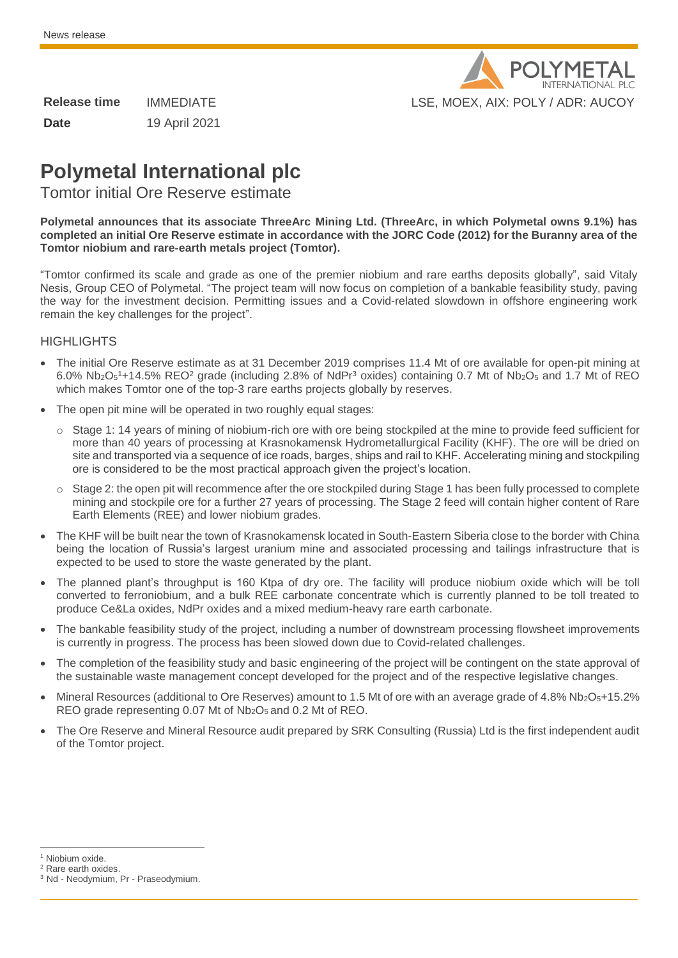

| <b>Release time</b> | <b>IMMEDIATE</b> |
|---------------------|------------------|
| Date                | 19 April 2021    |

# **Polymetal International plc**

Tomtor initial Ore Reserve estimate

**Polymetal announces that its associate ThreeArc Mining Ltd. (ThreeArc, in which Polymetal owns 9.1%) has completed an initial Ore Reserve estimate in accordance with the JORC Code (2012) for the Buranny area of the Tomtor niobium and rare-earth metals project (Tomtor).**

"Tomtor confirmed its scale and grade as one of the premier niobium and rare earths deposits globally", said Vitaly Nesis, Group CEO of Polymetal. "The project team will now focus on completion of a bankable feasibility study, paving the way for the investment decision. Permitting issues and a Covid-related slowdown in offshore engineering work remain the key challenges for the project".

## **HIGHLIGHTS**

- The initial Ore Reserve estimate as at 31 December 2019 comprises 11.4 Mt of ore available for open-pit mining at 6.0% Nb<sub>2</sub>O<sub>5</sub><sup>1</sup>+14.5% REO<sup>2</sup> grade (including 2.8% of NdPr<sup>3</sup> oxides) containing 0.7 Mt of Nb<sub>2</sub>O<sub>5</sub> and 1.7 Mt of REO which makes Tomtor one of the top-3 rare earths projects globally by reserves.
- The open pit mine will be operated in two roughly equal stages:
	- $\circ$  Stage 1: 14 years of mining of niobium-rich ore with ore being stockpiled at the mine to provide feed sufficient for more than 40 years of processing at Krasnokamensk Hydrometallurgical Facility (KHF). The ore will be dried on site and transported via a sequence of ice roads, barges, ships and rail to KHF. Accelerating mining and stockpiling ore is considered to be the most practical approach given the project's location.
	- o Stage 2: the open pit will recommence after the ore stockpiled during Stage 1 has been fully processed to complete mining and stockpile ore for a further 27 years of processing. The Stage 2 feed will contain higher content of Rare Earth Elements (REE) and lower niobium grades.
- The KHF will be built near the town of Krasnokamensk located in South-Eastern Siberia close to the border with China being the location of Russia's largest uranium mine and associated processing and tailings infrastructure that is expected to be used to store the waste generated by the plant.
- The planned plant's throughput is 160 Ktpa of dry ore. The facility will produce niobium oxide which will be toll converted to ferroniobium, and a bulk REE carbonate concentrate which is currently planned to be toll treated to produce Ce&La oxides, NdPr oxides and a mixed medium-heavy rare earth carbonate.
- The bankable feasibility study of the project, including a number of downstream processing flowsheet improvements is currently in progress. The process has been slowed down due to Covid-related challenges.
- The completion of the feasibility study and basic engineering of the project will be contingent on the state approval of the sustainable waste management concept developed for the project and of the respective legislative changes.
- Mineral Resources (additional to Ore Reserves) amount to 1.5 Mt of ore with an average grade of 4.8% Nb<sub>2</sub>O<sub>5</sub>+15.2% REO grade representing 0.07 Mt of Nb<sub>2</sub>O<sub>5</sub> and 0.2 Mt of REO.
- The Ore Reserve and Mineral Resource audit prepared by SRK Consulting (Russia) Ltd is the first independent audit of the Tomtor project.

j <sup>1</sup> Niobium oxide.

<sup>2</sup> Rare earth oxides.

<sup>&</sup>lt;sup>3</sup> Nd - Neodymium, Pr - Praseodymium.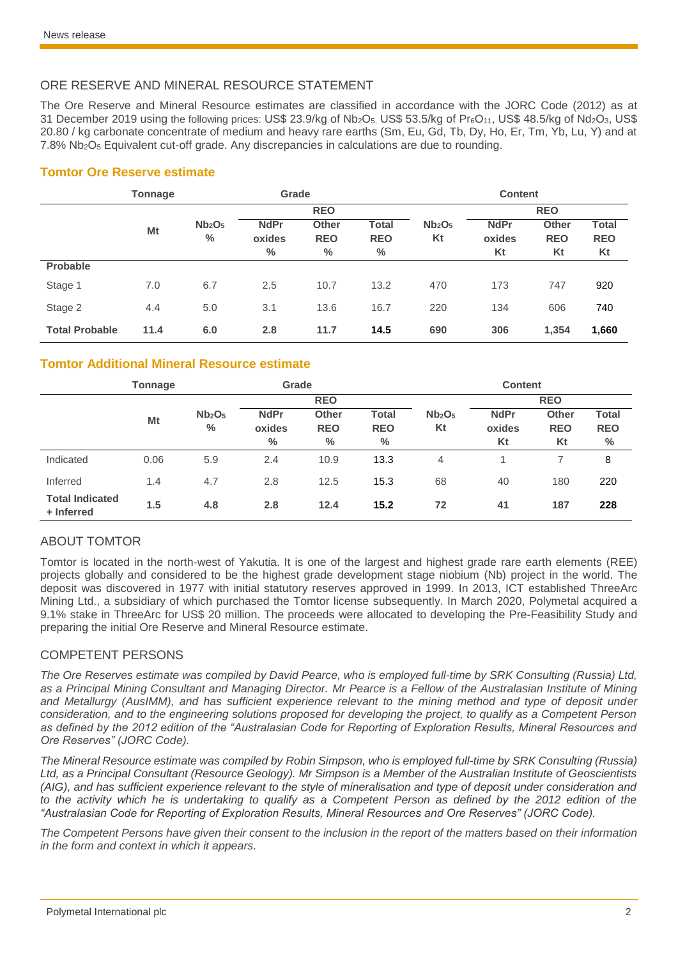# ORE RESERVE AND MINERAL RESOURCE STATEMENT

The Ore Reserve and Mineral Resource estimates are classified in accordance with the JORC Code (2012) as at 31 December 2019 using the following prices: US\$ 23.9/kg of  $Nb_2O_5$ , US\$ 53.5/kg of  $Pr_6O_{11}$ , US\$ 48.5/kg of  $Nd_2O_3$ , US\$ 20.80 / kg carbonate concentrate of medium and heavy rare earths (Sm, Eu, Gd, Tb, Dy, Ho, Er, Tm, Yb, Lu, Y) and at 7.8% Nb2O<sup>5</sup> Equivalent cut-off grade. Any discrepancies in calculations are due to rounding.

## **Tomtor Ore Reserve estimate**

|                       | <b>Tonnage</b> |                                        | Grade                         |                                    |                                    | <b>Content</b>                       |                             |                                  |                                  |
|-----------------------|----------------|----------------------------------------|-------------------------------|------------------------------------|------------------------------------|--------------------------------------|-----------------------------|----------------------------------|----------------------------------|
|                       |                |                                        | <b>REO</b>                    |                                    |                                    |                                      |                             | <b>REO</b>                       |                                  |
|                       | Mt             | Nb <sub>2</sub> O <sub>5</sub><br>$\%$ | <b>NdPr</b><br>oxides<br>$\%$ | <b>Other</b><br><b>REO</b><br>$\%$ | <b>Total</b><br><b>REO</b><br>$\%$ | Nb <sub>2</sub> O <sub>5</sub><br>Kt | <b>NdPr</b><br>oxides<br>Kt | <b>Other</b><br><b>REO</b><br>Kt | <b>Total</b><br><b>REO</b><br>Kt |
| <b>Probable</b>       |                |                                        |                               |                                    |                                    |                                      |                             |                                  |                                  |
| Stage 1               | 7.0            | 6.7                                    | 2.5                           | 10.7                               | 13.2                               | 470                                  | 173                         | 747                              | 920                              |
| Stage 2               | 4.4            | 5.0                                    | 3.1                           | 13.6                               | 16.7                               | 220                                  | 134                         | 606                              | 740                              |
| <b>Total Probable</b> | 11.4           | 6.0                                    | 2.8                           | 11.7                               | 14.5                               | 690                                  | 306                         | 1,354                            | 1,660                            |

# **Tomtor Additional Mineral Resource estimate**

|                                      | <b>Tonnage</b> |                                                 | Grade                                  |                                    | <b>Content</b>                     |                                      |                             |                                  |                             |
|--------------------------------------|----------------|-------------------------------------------------|----------------------------------------|------------------------------------|------------------------------------|--------------------------------------|-----------------------------|----------------------------------|-----------------------------|
|                                      |                |                                                 | <b>REO</b>                             |                                    |                                    | <b>REO</b>                           |                             |                                  |                             |
|                                      | Mt             | Nb <sub>2</sub> O <sub>5</sub><br>$\frac{0}{0}$ | <b>NdPr</b><br>oxides<br>$\frac{0}{0}$ | <b>Other</b><br><b>REO</b><br>$\%$ | <b>Total</b><br><b>REO</b><br>$\%$ | Nb <sub>2</sub> O <sub>5</sub><br>Kt | <b>NdPr</b><br>oxides<br>Kt | <b>Other</b><br><b>REO</b><br>Kt | Total<br><b>REO</b><br>$\%$ |
| Indicated                            | 0.06           | 5.9                                             | 2.4                                    | 10.9                               | 13.3                               | 4                                    |                             |                                  | 8                           |
| Inferred                             | 1.4            | 4.7                                             | 2.8                                    | 12.5                               | 15.3                               | 68                                   | 40                          | 180                              | 220                         |
| <b>Total Indicated</b><br>+ Inferred | 1.5            | 4.8                                             | 2.8                                    | 12.4                               | 15.2                               | 72                                   | 41                          | 187                              | 228                         |

# ABOUT TOMTOR

Tomtor is located in the north-west of Yakutia. It is one of the largest and highest grade rare earth elements (REE) projects globally and considered to be the highest grade development stage niobium (Nb) project in the world. The deposit was discovered in 1977 with initial statutory reserves approved in 1999. In 2013, ICT established ThreeArc Mining Ltd., a subsidiary of which purchased the Tomtor license subsequently. In March 2020, Polymetal acquired a 9.1% stake in ThreeArc for US\$ 20 million. The proceeds were allocated to developing the Pre-Feasibility Study and preparing the initial Ore Reserve and Mineral Resource estimate.

### COMPETENT PERSONS

*The Ore Reserves estimate was compiled by David Pearce, who is employed full-time by SRK Consulting (Russia) Ltd, as a Principal Mining Consultant and Managing Director. Mr Pearce is a Fellow of the Australasian Institute of Mining*  and Metallurgy (AusIMM), and has sufficient experience relevant to the mining method and type of deposit under *consideration, and to the engineering solutions proposed for developing the project, to qualify as a Competent Person as defined by the 2012 edition of the "Australasian Code for Reporting of Exploration Results, Mineral Resources and Ore Reserves" (JORC Code).*

*The Mineral Resource estimate was compiled by Robin Simpson, who is employed full-time by SRK Consulting (Russia) Ltd, as a Principal Consultant (Resource Geology). Mr Simpson is a Member of the Australian Institute of Geoscientists (AIG), and has sufficient experience relevant to the style of mineralisation and type of deposit under consideration and*  to the activity which he is undertaking to qualify as a Competent Person as defined by the 2012 edition of the *"Australasian Code for Reporting of Exploration Results, Mineral Resources and Ore Reserves" (JORC Code).*

*The Competent Persons have given their consent to the inclusion in the report of the matters based on their information in the form and context in which it appears.*